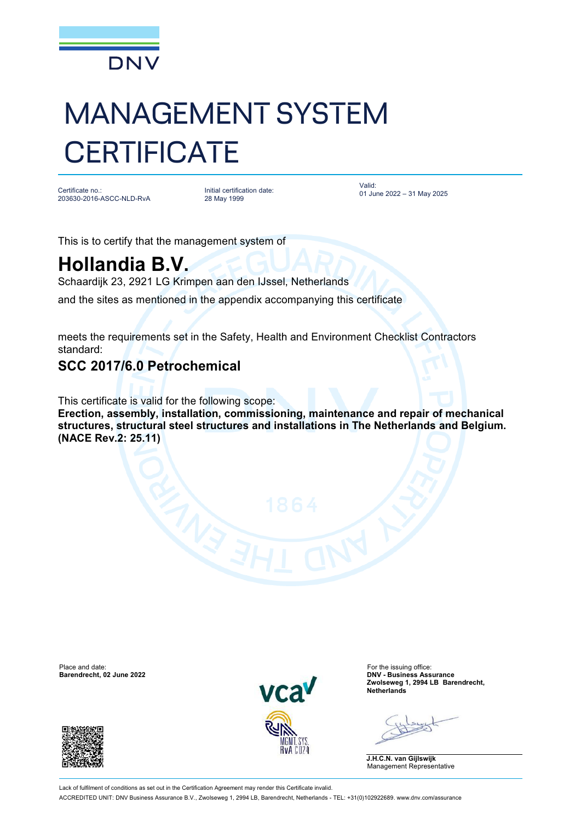

# MANAGEMENT SYSTEM **CERTIFICATE**

Certificate no.: 203630-2016-ASCC-NLD-RvA

Initial certification date: 28 May 1999

Valid: 01 June 2022 – 31 May 2025

This is to certify that the management system of

# **Hollandia B.V.**

Schaardijk 23, 2921 LG Krimpen aan den IJssel, Netherlands

and the sites as mentioned in the appendix accompanying this certificate

meets the requirements set in the Safety, Health and Environment Checklist Contractors standard:

### **SCC 2017/6.0 Petrochemical**

This certificate is valid for the following scope: **Erection, assembly, installation, commissioning, maintenance and repair of mechanical structures, structural steel structures and installations in The Netherlands and Belgium. (NACE Rev.2: 25.11)**

Place and date: For the issuing office: For the issuing office: For the issuing office: For the issuing office:<br>
Barendrecht, 02 June 2022





**Barendrecht, 02 June 2022 DNV - Business Assurance Zwolseweg 1, 2994 LB Barendrecht, Netherlands**

**J.H.C.N. van Gijlswijk** Management Representative

Lack of fulfilment of conditions as set out in the Certification Agreement may render this Certificate invalid. ACCREDITED UNIT: DNV Business Assurance B.V., Zwolseweg 1, 2994 LB, Barendrecht, Netherlands - TEL: +31(0)102922689. [www.dnv.com/assurance](http://www.dnv.com/assurance)